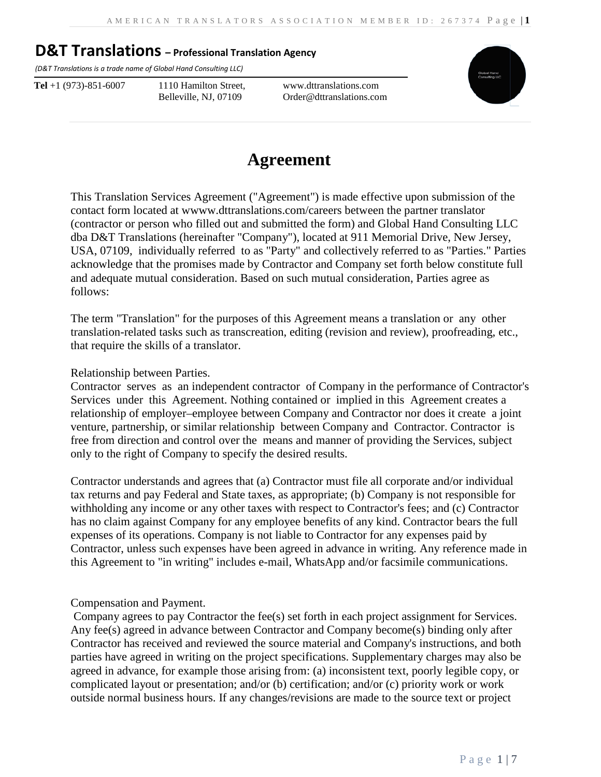*(D&T Translations is a trade name of Global Hand Consulting LLC)*

**Tel** +1 (973)-851-6007 1110 Hamilton Street, Belleville, NJ, 07109

www.dttranslations.com Order@dttranslations.com



# **Agreement**

This Translation Services Agreement ("Agreement") is made effective upon submission of the contact form located at wwww.dttranslations.com/careers between the partner translator (contractor or person who filled out and submitted the form) and Global Hand Consulting LLC dba D&T Translations (hereinafter "Company"), located at 911 Memorial Drive, New Jersey, USA, 07109, individually referred to as "Party" and collectively referred to as "Parties." Parties acknowledge that the promises made by Contractor and Company set forth below constitute full and adequate mutual consideration. Based on such mutual consideration, Parties agree as follows:

The term "Translation" for the purposes of this Agreement means a translation or any other translation-related tasks such as transcreation, editing (revision and review), proofreading, etc., that require the skills of a translator.

Relationship between Parties.

Contractor serves as an independent contractor of Company in the performance of Contractor's Services under this Agreement. Nothing contained or implied in this Agreement creates a relationship of employer–employee between Company and Contractor nor does it create a joint venture, partnership, or similar relationship between Company and Contractor. Contractor is free from direction and control over the means and manner of providing the Services, subject only to the right of Company to specify the desired results.

Contractor understands and agrees that (a) Contractor must file all corporate and/or individual tax returns and pay Federal and State taxes, as appropriate; (b) Company is not responsible for withholding any income or any other taxes with respect to Contractor's fees; and (c) Contractor has no claim against Company for any employee benefits of any kind. Contractor bears the full expenses of its operations. Company is not liable to Contractor for any expenses paid by Contractor, unless such expenses have been agreed in advance in writing. Any reference made in this Agreement to "in writing" includes e-mail, WhatsApp and/or facsimile communications.

#### Compensation and Payment.

Company agrees to pay Contractor the fee(s) set forth in each project assignment for Services. Any fee(s) agreed in advance between Contractor and Company become(s) binding only after Contractor has received and reviewed the source material and Company's instructions, and both parties have agreed in writing on the project specifications. Supplementary charges may also be agreed in advance, for example those arising from: (a) inconsistent text, poorly legible copy, or complicated layout or presentation; and/or (b) certification; and/or (c) priority work or work outside normal business hours. If any changes/revisions are made to the source text or project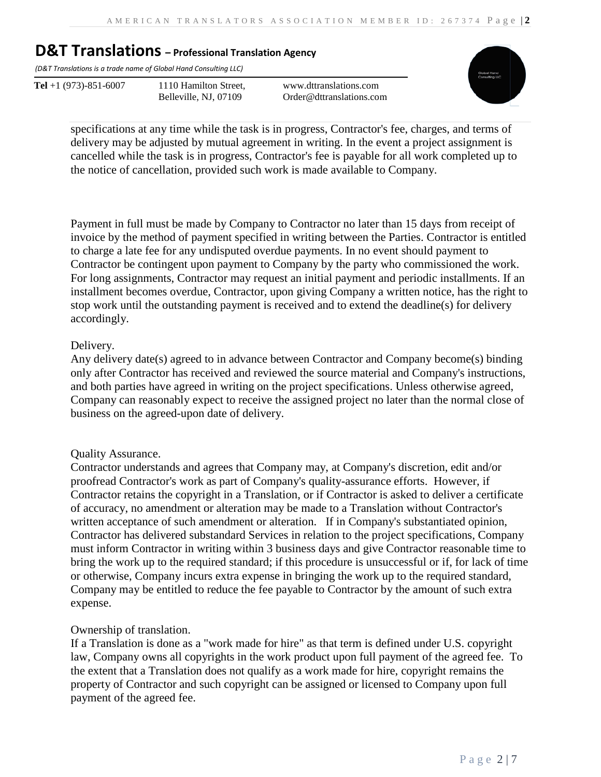*(D&T Translations is a trade name of Global Hand Consulting LLC)*

**Tel** +1 (973)-851-6007 1110 Hamilton Street, Belleville, NJ, 07109

www.dttranslations.com Order@dttranslations.com



specifications at any time while the task is in progress, Contractor's fee, charges, and terms of delivery may be adjusted by mutual agreement in writing. In the event a project assignment is cancelled while the task is in progress, Contractor's fee is payable for all work completed up to the notice of cancellation, provided such work is made available to Company.

Payment in full must be made by Company to Contractor no later than 15 days from receipt of invoice by the method of payment specified in writing between the Parties. Contractor is entitled to charge a late fee for any undisputed overdue payments. In no event should payment to Contractor be contingent upon payment to Company by the party who commissioned the work. For long assignments, Contractor may request an initial payment and periodic installments. If an installment becomes overdue, Contractor, upon giving Company a written notice, has the right to stop work until the outstanding payment is received and to extend the deadline(s) for delivery accordingly.

#### Delivery.

Any delivery date(s) agreed to in advance between Contractor and Company become(s) binding only after Contractor has received and reviewed the source material and Company's instructions, and both parties have agreed in writing on the project specifications. Unless otherwise agreed, Company can reasonably expect to receive the assigned project no later than the normal close of business on the agreed-upon date of delivery.

#### Quality Assurance.

Contractor understands and agrees that Company may, at Company's discretion, edit and/or proofread Contractor's work as part of Company's quality-assurance efforts. However, if Contractor retains the copyright in a Translation, or if Contractor is asked to deliver a certificate of accuracy, no amendment or alteration may be made to a Translation without Contractor's written acceptance of such amendment or alteration. If in Company's substantiated opinion, Contractor has delivered substandard Services in relation to the project specifications, Company must inform Contractor in writing within 3 business days and give Contractor reasonable time to bring the work up to the required standard; if this procedure is unsuccessful or if, for lack of time or otherwise, Company incurs extra expense in bringing the work up to the required standard, Company may be entitled to reduce the fee payable to Contractor by the amount of such extra expense.

#### Ownership of translation.

If a Translation is done as a "work made for hire" as that term is defined under U.S. copyright law, Company owns all copyrights in the work product upon full payment of the agreed fee. To the extent that a Translation does not qualify as a work made for hire, copyright remains the property of Contractor and such copyright can be assigned or licensed to Company upon full payment of the agreed fee.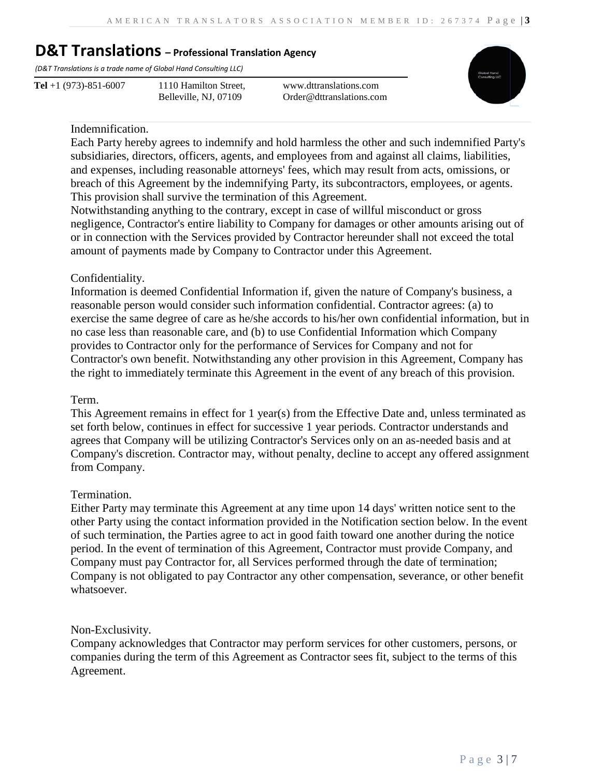*(D&T Translations is a trade name of Global Hand Consulting LLC)*

**Tel** +1 (973)-851-6007 1110 Hamilton Street, Belleville, NJ, 07109

www.dttranslations.com Order@dttranslations.com



#### Indemnification.

Each Party hereby agrees to indemnify and hold harmless the other and such indemnified Party's subsidiaries, directors, officers, agents, and employees from and against all claims, liabilities, and expenses, including reasonable attorneys' fees, which may result from acts, omissions, or breach of this Agreement by the indemnifying Party, its subcontractors, employees, or agents. This provision shall survive the termination of this Agreement.

Notwithstanding anything to the contrary, except in case of willful misconduct or gross negligence, Contractor's entire liability to Company for damages or other amounts arising out of or in connection with the Services provided by Contractor hereunder shall not exceed the total amount of payments made by Company to Contractor under this Agreement.

#### Confidentiality.

Information is deemed Confidential Information if, given the nature of Company's business, a reasonable person would consider such information confidential. Contractor agrees: (a) to exercise the same degree of care as he/she accords to his/her own confidential information, but in no case less than reasonable care, and (b) to use Confidential Information which Company provides to Contractor only for the performance of Services for Company and not for Contractor's own benefit. Notwithstanding any other provision in this Agreement, Company has the right to immediately terminate this Agreement in the event of any breach of this provision.

#### Term.

This Agreement remains in effect for 1 year(s) from the Effective Date and, unless terminated as set forth below, continues in effect for successive 1 year periods. Contractor understands and agrees that Company will be utilizing Contractor's Services only on an as-needed basis and at Company's discretion. Contractor may, without penalty, decline to accept any offered assignment from Company.

#### Termination.

Either Party may terminate this Agreement at any time upon 14 days' written notice sent to the other Party using the contact information provided in the Notification section below. In the event of such termination, the Parties agree to act in good faith toward one another during the notice period. In the event of termination of this Agreement, Contractor must provide Company, and Company must pay Contractor for, all Services performed through the date of termination; Company is not obligated to pay Contractor any other compensation, severance, or other benefit whatsoever.

#### Non-Exclusivity.

Company acknowledges that Contractor may perform services for other customers, persons, or companies during the term of this Agreement as Contractor sees fit, subject to the terms of this Agreement.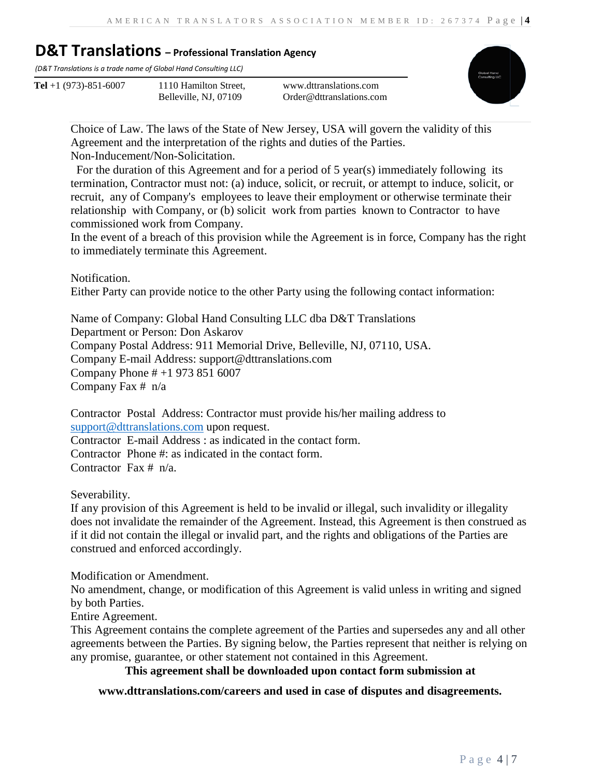*(D&T Translations is a trade name of Global Hand Consulting LLC)*

**Tel** +1 (973)-851-6007 1110 Hamilton Street,

Belleville, NJ, 07109

www.dttranslations.com Order@dttranslations.com



Choice of Law. The laws of the State of New Jersey, USA will govern the validity of this Agreement and the interpretation of the rights and duties of the Parties. Non-Inducement/Non-Solicitation.

 For the duration of this Agreement and for a period of 5 year(s) immediately following its termination, Contractor must not: (a) induce, solicit, or recruit, or attempt to induce, solicit, or recruit, any of Company's employees to leave their employment or otherwise terminate their relationship with Company, or (b) solicit work from parties known to Contractor to have commissioned work from Company.

In the event of a breach of this provision while the Agreement is in force, Company has the right to immediately terminate this Agreement.

Notification.

Either Party can provide notice to the other Party using the following contact information:

Name of Company: Global Hand Consulting LLC dba D&T Translations Department or Person: Don Askarov Company Postal Address: 911 Memorial Drive, Belleville, NJ, 07110, USA. Company E-mail Address: support@dttranslations.com Company Phone # +1 973 851 6007 Company Fax # n/a

Contractor Postal Address: Contractor must provide his/her mailing address to [support@dttranslations.com](mailto:support@dttranslations.com) upon request. Contractor E-mail Address : as indicated in the contact form. Contractor Phone #: as indicated in the contact form. Contractor Fax # n/a.

Severability.

If any provision of this Agreement is held to be invalid or illegal, such invalidity or illegality does not invalidate the remainder of the Agreement. Instead, this Agreement is then construed as if it did not contain the illegal or invalid part, and the rights and obligations of the Parties are construed and enforced accordingly.

Modification or Amendment.

No amendment, change, or modification of this Agreement is valid unless in writing and signed by both Parties.

Entire Agreement.

This Agreement contains the complete agreement of the Parties and supersedes any and all other agreements between the Parties. By signing below, the Parties represent that neither is relying on any promise, guarantee, or other statement not contained in this Agreement.

**This agreement shall be downloaded upon contact form submission at** 

**www.dttranslations.com/careers and used in case of disputes and disagreements.**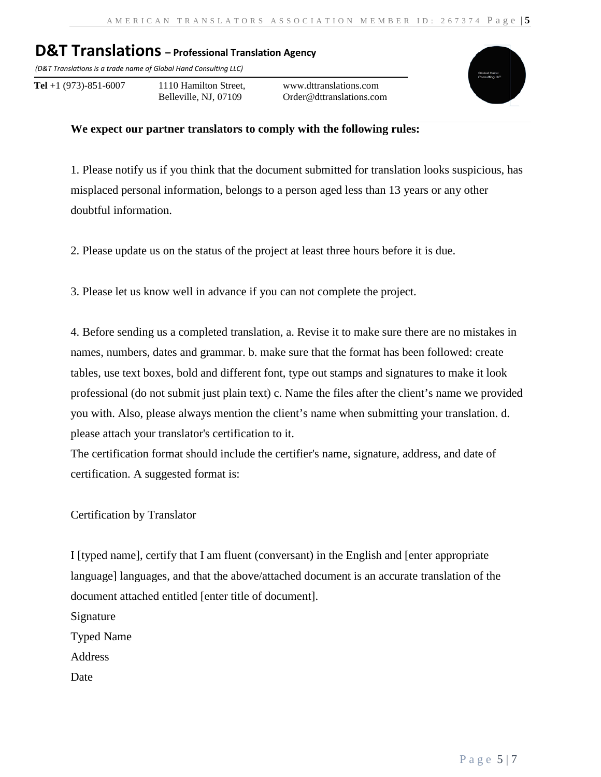*(D&T Translations is a trade name of Global Hand Consulting LLC)*

**Tel** +1 (973)-851-6007 1110 Hamilton Street, Belleville, NJ, 07109

www.dttranslations.com Order@dttranslations.com



#### **We expect our partner translators to comply with the following rules:**

1. Please notify us if you think that the document submitted for translation looks suspicious, has misplaced personal information, belongs to a person aged less than 13 years or any other doubtful information.

2. Please update us on the status of the project at least three hours before it is due.

3. Please let us know well in advance if you can not complete the project.

4. Before sending us a completed translation, a. Revise it to make sure there are no mistakes in names, numbers, dates and grammar. b. make sure that the format has been followed: create tables, use text boxes, bold and different font, type out stamps and signatures to make it look professional (do not submit just plain text) c. Name the files after the client's name we provided you with. Also, please always mention the client's name when submitting your translation. d. please attach your translator's certification to it.

The certification format should include the certifier's name, signature, address, and date of certification. A suggested format is:

Certification by Translator

I [typed name], certify that I am fluent (conversant) in the English and [enter appropriate language] languages, and that the above/attached document is an accurate translation of the document attached entitled [enter title of document].

Signature Typed Name Address Date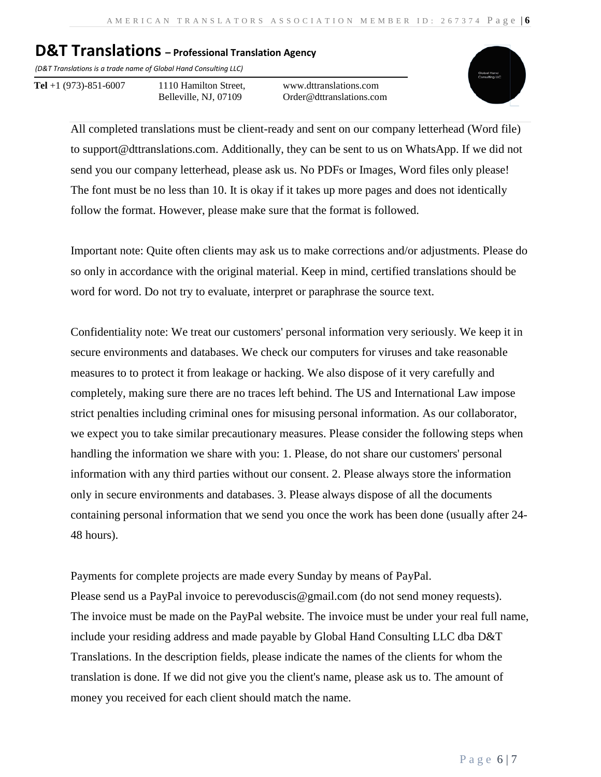*(D&T Translations is a trade name of Global Hand Consulting LLC)*

**Tel** +1 (973)-851-6007 1110 Hamilton Street, Belleville, NJ, 07109

www.dttranslations.com Order@dttranslations.com



All completed translations must be client-ready and sent on our company letterhead (Word file) to support@dttranslations.com. Additionally, they can be sent to us on WhatsApp. If we did not send you our company letterhead, please ask us. No PDFs or Images, Word files only please! The font must be no less than 10. It is okay if it takes up more pages and does not identically follow the format. However, please make sure that the format is followed.

Important note: Quite often clients may ask us to make corrections and/or adjustments. Please do so only in accordance with the original material. Keep in mind, certified translations should be word for word. Do not try to evaluate, interpret or paraphrase the source text.

Confidentiality note: We treat our customers' personal information very seriously. We keep it in secure environments and databases. We check our computers for viruses and take reasonable measures to to protect it from leakage or hacking. We also dispose of it very carefully and completely, making sure there are no traces left behind. The US and International Law impose strict penalties including criminal ones for misusing personal information. As our collaborator, we expect you to take similar precautionary measures. Please consider the following steps when handling the information we share with you: 1. Please, do not share our customers' personal information with any third parties without our consent. 2. Please always store the information only in secure environments and databases. 3. Please always dispose of all the documents containing personal information that we send you once the work has been done (usually after 24- 48 hours).

Payments for complete projects are made every Sunday by means of PayPal. Please send us a PayPal invoice to perevoduscis@gmail.com (do not send money requests). The invoice must be made on the PayPal website. The invoice must be under your real full name, include your residing address and made payable by Global Hand Consulting LLC dba D&T Translations. In the description fields, please indicate the names of the clients for whom the translation is done. If we did not give you the client's name, please ask us to. The amount of money you received for each client should match the name.